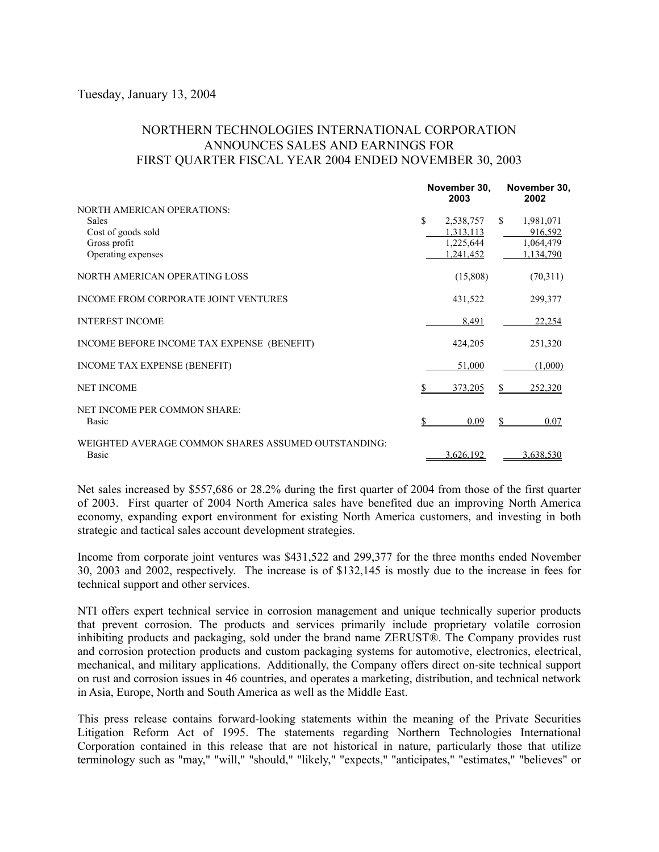## Tuesday, January 13, 2004

## NORTHERN TECHNOLOGIES INTERNATIONAL CORPORATION ANNOUNCES SALES AND EARNINGS FOR FIRST QUARTER FISCAL YEAR 2004 ENDED NOVEMBER 30, 2003

|                                                                                                               |    | November 30,<br>2003                             |     | November 30,<br>2002                           |  |
|---------------------------------------------------------------------------------------------------------------|----|--------------------------------------------------|-----|------------------------------------------------|--|
| <b>NORTH AMERICAN OPERATIONS:</b><br><b>Sales</b><br>Cost of goods sold<br>Gross profit<br>Operating expenses | \$ | 2,538,757<br>1,313,113<br>1,225,644<br>1,241,452 | \$. | 1,981,071<br>916,592<br>1,064,479<br>1,134,790 |  |
| NORTH AMERICAN OPERATING LOSS                                                                                 |    | (15,808)                                         |     | (70,311)                                       |  |
| INCOME FROM CORPORATE JOINT VENTURES                                                                          |    | 431,522                                          |     | 299,377                                        |  |
| <b>INTEREST INCOME</b>                                                                                        |    | 8,491                                            |     | 22,254                                         |  |
| INCOME BEFORE INCOME TAX EXPENSE (BENEFIT)                                                                    |    | 424,205                                          |     | 251,320                                        |  |
| INCOME TAX EXPENSE (BENEFIT)                                                                                  |    | 51,000                                           |     | (1,000)                                        |  |
| <b>NET INCOME</b>                                                                                             |    | 373,205                                          |     | 252,320                                        |  |
| NET INCOME PER COMMON SHARE:<br><b>Basic</b>                                                                  |    | 0.09                                             |     | 0.07                                           |  |
| WEIGHTED AVERAGE COMMON SHARES ASSUMED OUTSTANDING:<br><b>Basic</b>                                           |    | 3,626,192                                        |     | 3,638,530                                      |  |

Net sales increased by \$557,686 or 28.2% during the first quarter of 2004 from those of the first quarter of 2003. First quarter of 2004 North America sales have benefited due an improving North America economy, expanding export environment for existing North America customers, and investing in both strategic and tactical sales account development strategies.

Income from corporate joint ventures was \$431,522 and 299,377 for the three months ended November 30, 2003 and 2002, respectively. The increase is of \$132,145 is mostly due to the increase in fees for technical support and other services.

NTI offers expert technical service in corrosion management and unique technically superior products that prevent corrosion. The products and services primarily include proprietary volatile corrosion inhibiting products and packaging, sold under the brand name ZERUST®. The Company provides rust and corrosion protection products and custom packaging systems for automotive, electronics, electrical, mechanical, and military applications. Additionally, the Company offers direct on-site technical support on rust and corrosion issues in 46 countries, and operates a marketing, distribution, and technical network in Asia, Europe, North and South America as well as the Middle East.

This press release contains forward-looking statements within the meaning of the Private Securities Litigation Reform Act of 1995. The statements regarding Northern Technologies International Corporation contained in this release that are not historical in nature, particularly those that utilize terminology such as "may," "will," "should," "likely," "expects," "anticipates," "estimates," "believes" or